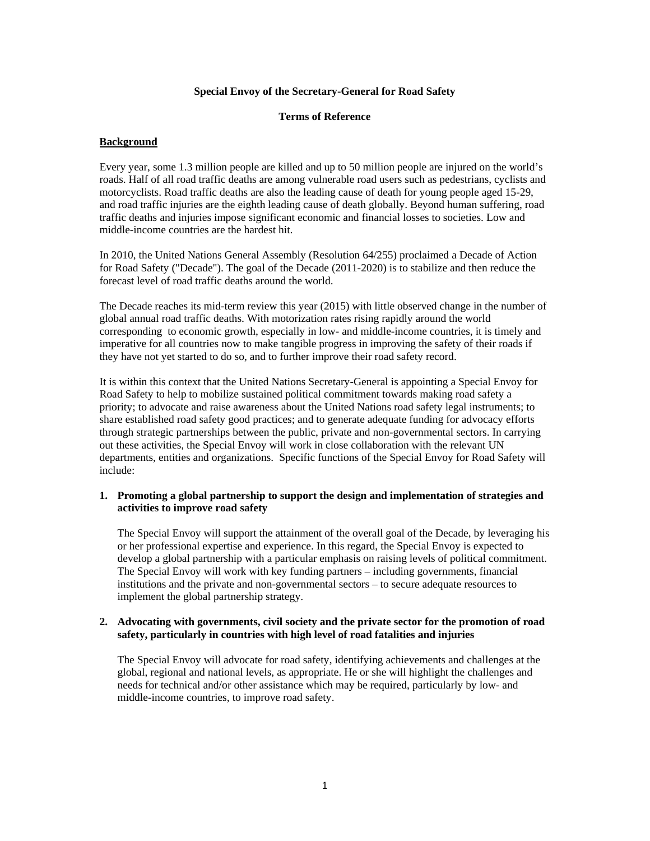# **Special Envoy of the Secretary-General for Road Safety**

## **Terms of Reference**

### **Background**

Every year, some 1.3 million people are killed and up to 50 million people are injured on the world's roads. Half of all road traffic deaths are among vulnerable road users such as pedestrians, cyclists and motorcyclists. Road traffic deaths are also the leading cause of death for young people aged 15-29, and road traffic injuries are the eighth leading cause of death globally. Beyond human suffering, road traffic deaths and injuries impose significant economic and financial losses to societies. Low and middle-income countries are the hardest hit.

In 2010, the United Nations General Assembly (Resolution 64/255) proclaimed a Decade of Action for Road Safety ("Decade"). The goal of the Decade (2011-2020) is to stabilize and then reduce the forecast level of road traffic deaths around the world.

The Decade reaches its mid-term review this year (2015) with little observed change in the number of global annual road traffic deaths. With motorization rates rising rapidly around the world corresponding to economic growth, especially in low- and middle-income countries, it is timely and imperative for all countries now to make tangible progress in improving the safety of their roads if they have not yet started to do so, and to further improve their road safety record.

It is within this context that the United Nations Secretary-General is appointing a Special Envoy for Road Safety to help to mobilize sustained political commitment towards making road safety a priority; to advocate and raise awareness about the United Nations road safety legal instruments; to share established road safety good practices; and to generate adequate funding for advocacy efforts through strategic partnerships between the public, private and non-governmental sectors. In carrying out these activities, the Special Envoy will work in close collaboration with the relevant UN departments, entities and organizations. Specific functions of the Special Envoy for Road Safety will include:

### **1. Promoting a global partnership to support the design and implementation of strategies and activities to improve road safety**

The Special Envoy will support the attainment of the overall goal of the Decade, by leveraging his or her professional expertise and experience. In this regard, the Special Envoy is expected to develop a global partnership with a particular emphasis on raising levels of political commitment. The Special Envoy will work with key funding partners – including governments, financial institutions and the private and non-governmental sectors – to secure adequate resources to implement the global partnership strategy.

### **2. Advocating with governments, civil society and the private sector for the promotion of road safety, particularly in countries with high level of road fatalities and injuries**

The Special Envoy will advocate for road safety, identifying achievements and challenges at the global, regional and national levels, as appropriate. He or she will highlight the challenges and needs for technical and/or other assistance which may be required, particularly by low- and middle-income countries, to improve road safety.